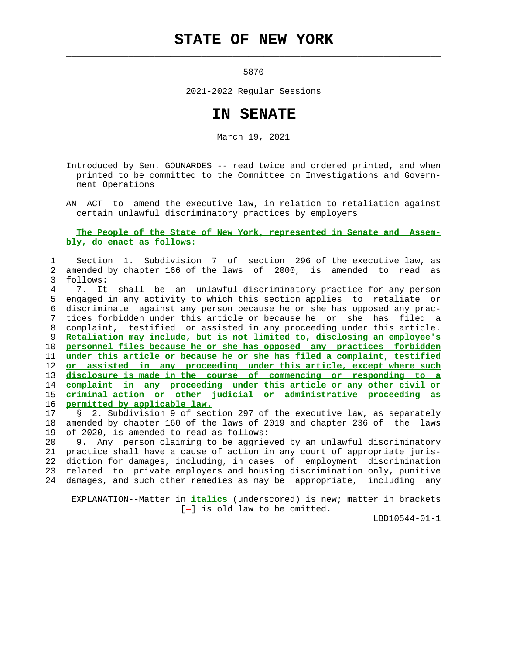## **STATE OF NEW YORK**

5870

 $\mathcal{L}_\text{max} = \frac{1}{2} \sum_{i=1}^{n} \frac{1}{2} \sum_{i=1}^{n} \frac{1}{2} \sum_{i=1}^{n} \frac{1}{2} \sum_{i=1}^{n} \frac{1}{2} \sum_{i=1}^{n} \frac{1}{2} \sum_{i=1}^{n} \frac{1}{2} \sum_{i=1}^{n} \frac{1}{2} \sum_{i=1}^{n} \frac{1}{2} \sum_{i=1}^{n} \frac{1}{2} \sum_{i=1}^{n} \frac{1}{2} \sum_{i=1}^{n} \frac{1}{2} \sum_{i=1}^{n} \frac{1$ 

\_\_\_\_\_\_\_\_\_\_\_

2021-2022 Regular Sessions

## **IN SENATE**

March 19, 2021

 Introduced by Sen. GOUNARDES -- read twice and ordered printed, and when printed to be committed to the Committee on Investigations and Govern ment Operations

 AN ACT to amend the executive law, in relation to retaliation against certain unlawful discriminatory practices by employers

## **The People of the State of New York, represented in Senate and Assem bly, do enact as follows:**

## 1 Section 1. Subdivision 7 of section 296 of the executive law, as 2 amended by chapter 166 of the laws of 2000, is amended to read as 3 follows:

 4 7. It shall be an unlawful discriminatory practice for any person 5 engaged in any activity to which this section applies to retaliate or 6 discriminate against any person because he or she has opposed any prac- 7 tices forbidden under this article or because he or she has filed a 8 complaint, testified or assisted in any proceeding under this article. **Retaliation may include, but is not limited to, disclosing an employee's personnel files because he or she has opposed any practices forbidden under this article or because he or she has filed a complaint, testified or assisted in any proceeding under this article, except where such disclosure is made in the course of commencing or responding to a complaint in any proceeding under this article or any other civil or criminal action or other judicial or administrative proceeding as permitted by applicable law.**

 17 § 2. Subdivision 9 of section 297 of the executive law, as separately 18 amended by chapter 160 of the laws of 2019 and chapter 236 of the laws 19 of 2020, is amended to read as follows:

 20 9. Any person claiming to be aggrieved by an unlawful discriminatory 21 practice shall have a cause of action in any court of appropriate juris- 22 diction for damages, including, in cases of employment discrimination 23 related to private employers and housing discrimination only, punitive 24 damages, and such other remedies as may be appropriate, including any

 EXPLANATION--Matter in **italics** (underscored) is new; matter in brackets  $[-]$  is old law to be omitted.

LBD10544-01-1